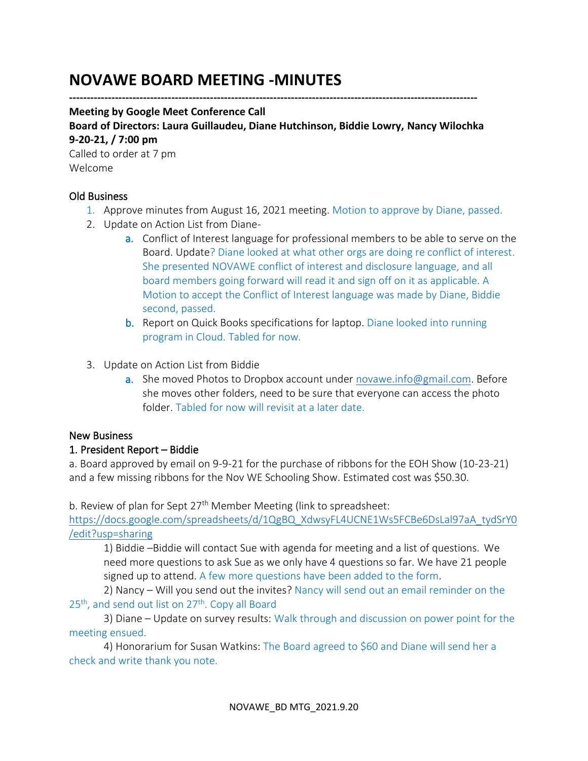# **NOVAWE BOARD MEETING -MINUTES**

**--------------------------------------------------------------------------------------------------------------------**

#### **Meeting by Google Meet Conference Call**

**Board of Directors: Laura Guillaudeu, Diane Hutchinson, Biddie Lowry, Nancy Wilochka 9-20-21, / 7:00 pm**

Called to order at 7 pm Welcome

#### Old Business

- 1. Approve minutes from August 16, 2021 meeting. Motion to approve by Diane, passed.
- 2. Update on Action List from Diane
	- a. Conflict of Interest language for professional members to be able to serve on the Board. Update? Diane looked at what other orgs are doing re conflict of interest. She presented NOVAWE conflict of interest and disclosure language, and all board members going forward will read it and sign off on it as applicable. A Motion to accept the Conflict of Interest language was made by Diane, Biddie second, passed.
	- b. Report on Quick Books specifications for laptop. Diane looked into running program in Cloud. Tabled for now.
- 3. Update on Action List from Biddie
	- a. She moved Photos to Dropbox account under [novawe.info@gmail.com.](mailto:novawe.info@gmail.com) Before she moves other folders, need to be sure that everyone can access the photo folder. Tabled for now will revisit at a later date.

## New Business

## 1. President Report – Biddie

a. Board approved by email on 9-9-21 for the purchase of ribbons for the EOH Show (10-23-21) and a few missing ribbons for the Nov WE Schooling Show. Estimated cost was \$50.30.

b. Review of plan for Sept  $27<sup>th</sup>$  Member Meeting (link to spreadsheet:

[https://docs.google.com/spreadsheets/d/1QgBQ\\_XdwsyFL4UCNE1Ws5FCBe6DsLal97aA\\_tydSrY0](https://docs.google.com/spreadsheets/d/1QgBQ_XdwsyFL4UCNE1Ws5FCBe6DsLal97aA_tydSrY0/edit?usp=sharing) [/edit?usp=sharing](https://docs.google.com/spreadsheets/d/1QgBQ_XdwsyFL4UCNE1Ws5FCBe6DsLal97aA_tydSrY0/edit?usp=sharing)

1) Biddie –Biddie will contact Sue with agenda for meeting and a list of questions. We need more questions to ask Sue as we only have 4 questions so far. We have 21 people signed up to attend. A few more questions have been added to the form.

2) Nancy – Will you send out the invites? Nancy will send out an email reminder on the  $25<sup>th</sup>$ , and send out list on  $27<sup>th</sup>$ . Copy all Board

3) Diane – Update on survey results: Walk through and discussion on power point for the meeting ensued.

4) Honorarium for Susan Watkins: The Board agreed to \$60 and Diane will send her a check and write thank you note.